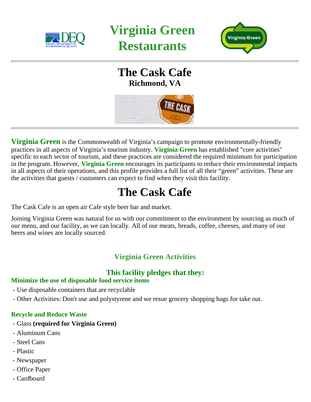

**Virginia Green Restaurants** 



## **The Cask Cafe Richmond, VA**



**Virginia Green** is the Commonwealth of Virginia's campaign to promote environmentally-friendly practices in all aspects of Virginia's tourism industry. **Virginia Green** has established "core activities" specific to each sector of tourism, and these practices are considered the required minimum for participation in the program. However, **Virginia Green** encourages its participants to reduce their environmental impacts in all aspects of their operations, and this profile provides a full list of all their "green" activities. These are the activities that guests / customers can expect to find when they visit this facility.

# **The Cask Cafe**

The Cask Cafe is an open air Cafe style beer bar and market.

Joining Virginia Green was natural for us with our commitment to the environment by sourcing as much of our menu, and our facility, as we can locally. All of our meats, breads, coffee, cheeses, and many of our beers and wines are locally sourced.

### **Virginia Green Activities**

#### **This facility pledges that they:**

#### **Minimize the use of disposable food service items**

- Use disposable containers that are recyclable
- Other Activities: Don't use and polystyrene and we resue grocery shopping bags for take out.

#### **Recycle and Reduce Waste**

- Glass **(required for Virginia Green)**
- Aluminum Cans
- Steel Cans
- Plastic
- Newspaper
- Office Paper
- Cardboard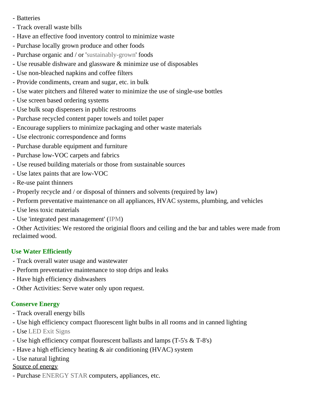- Batteries
- Track overall waste bills
- Have an effective food inventory control to minimize waste
- Purchase locally grown produce and other foods
- Purchase organic and / or '[sustainably-grown](http://www.sustainabletable.org/issues/)' foods
- Use reusable dishware and glassware & minimize use of disposables
- Use non-bleached napkins and coffee filters
- Provide condiments, cream and sugar, etc. in bulk
- Use water pitchers and filtered water to minimize the use of single-use bottles
- Use screen based ordering systems
- Use bulk soap dispensers in public restrooms
- Purchase recycled content paper towels and toilet paper
- Encourage suppliers to minimize packaging and other waste materials
- Use electronic correspondence and forms
- Purchase durable equipment and furniture
- Purchase low-VOC carpets and fabrics
- Use reused building materials or those from sustainable sources
- Use latex paints that are low-VOC
- Re-use paint thinners
- Properly recycle and / or disposal of thinners and solvents (required by law)
- Perform preventative maintenance on all appliances, HVAC systems, plumbing, and vehicles
- Use less toxic materials
- Use 'integrated pest management' ([IPM](http://www.epa.gov/pesticides/factsheets/ipm.htm))

- Other Activities: We restored the originial floors and ceiling and the bar and tables were made from reclaimed wood.

#### **Use Water Efficiently**

- Track overall water usage and wastewater
- Perform preventative maintenance to stop drips and leaks
- Have high efficiency dishwashers
- Other Activities: Serve water only upon request.

#### **Conserve Energy**

- Track overall energy bills
- Use high efficiency compact fluorescent light bulbs in all rooms and in canned lighting
- Use [LED Exit Signs](http://www.energystar.gov/ia/business/small_business/led_exitsigns_techsheet.pdf)
- Use high efficiency compat flourescent ballasts and lamps (T-5's & T-8's)
- Have a high efficiency heating & air conditioning (HVAC) system
- Use natural lighting

#### Source of energy

- Purchase [ENERGY STAR](http://www.energystar.com) computers, appliances, etc.